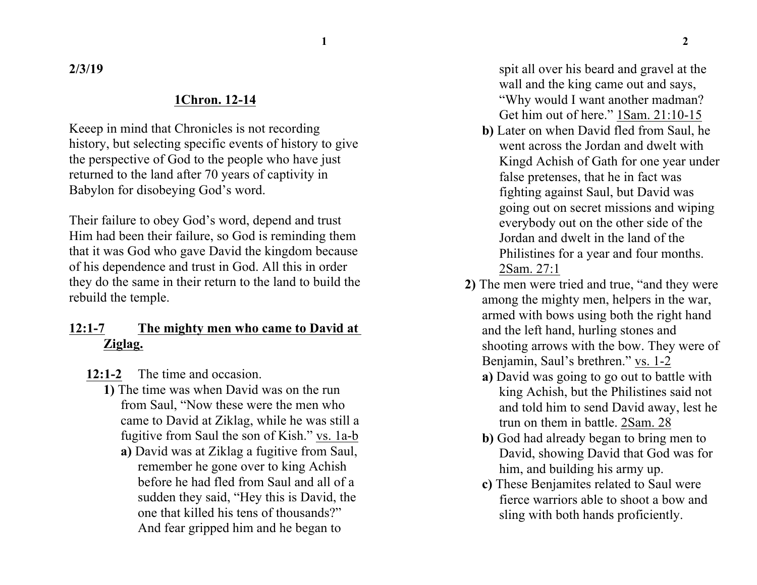**1 2**

**2/3/19**

## **1Chron. 12-14**

Keeep in mind that Chronicles is not recording history, but selecting specific events of history to give the perspective of God to the people who have just returned to the land after 70 years of captivity in Babylon for disobeying God's word.

Their failure to obey God's word, depend and trust Him had been their failure, so God is reminding them that it was God who gave David the kingdom because of his dependence and trust in God. All this in order they do the same in their return to the land to build the rebuild the temple.

## **12:1-7 The mighty men who came to David at Ziglag.**

- **12:1-2** The time and occasion.
	- **1)** The time was when David was on the run from Saul, "Now these were the men who came to David at Ziklag, while he was still a fugitive from Saul the son of Kish." vs. 1a-b
		- **a)** David was at Ziklag a fugitive from Saul, remember he gone over to king Achish before he had fled from Saul and all of a sudden they said, "Hey this is David, the one that killed his tens of thousands?" And fear gripped him and he began to

spit all over his beard and gravel at the wall and the king came out and says, "Why would I want another madman? Get him out of here." 1Sam. 21:10-15

- **b)** Later on when David fled from Saul, he went across the Jordan and dwelt with Kingd Achish of Gath for one year under false pretenses, that he in fact was fighting against Saul, but David was going out on secret missions and wiping everybody out on the other side of the Jordan and dwelt in the land of the Philistines for a year and four months. 2Sam. 27:1
- **2)** The men were tried and true, "and they were among the mighty men, helpers in the war, armed with bows using both the right hand and the left hand, hurling stones and shooting arrows with the bow. They were of Benjamin, Saul's brethren." vs. 1-2
	- **a)** David was going to go out to battle with king Achish, but the Philistines said not and told him to send David away, lest he trun on them in battle. 2Sam. 28
	- **b)** God had already began to bring men to David, showing David that God was for him, and building his army up.
	- **c)** These Benjamites related to Saul were fierce warriors able to shoot a bow and sling with both hands proficiently.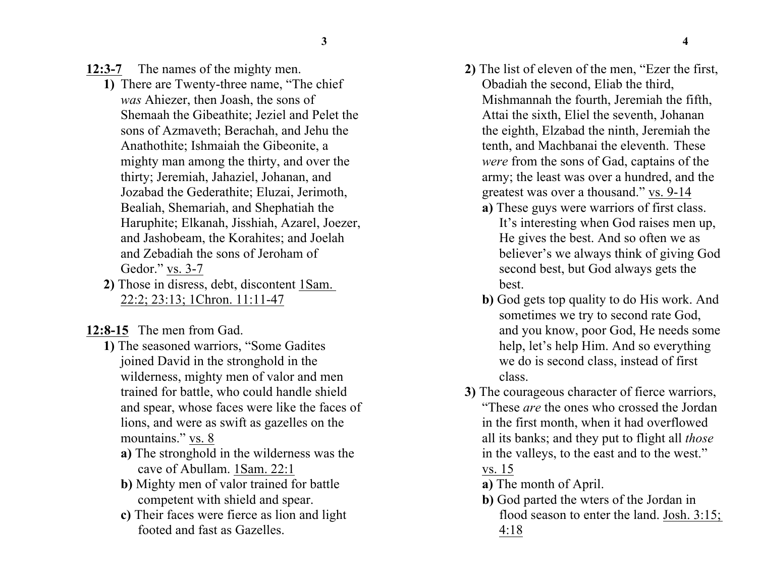**12:3-7** The names of the mighty men.

- **1)** There are Twenty-three name, "The chief *was* Ahiezer, then Joash, the sons of Shemaah the Gibeathite; Jeziel and Pelet the sons of Azmaveth; Berachah, and Jehu the Anathothite; Ishmaiah the Gibeonite, a mighty man among the thirty, and over the thirty; Jeremiah, Jahaziel, Johanan, and Jozabad the Gederathite; Eluzai, Jerimoth, Bealiah, Shemariah, and Shephatiah the Haruphite; Elkanah, Jisshiah, Azarel, Joezer, and Jashobeam, the Korahites; and Joelah and Zebadiah the sons of Jeroham of Gedor." vs. 3-7
- **2)** Those in disress, debt, discontent 1Sam. 22:2; 23:13; 1Chron. 11:11-47

**12:8-15** The men from Gad.

- **1)** The seasoned warriors, "Some Gadites joined David in the stronghold in the wilderness, mighty men of valor and men trained for battle, who could handle shield and spear, whose faces were like the faces of lions, and were as swift as gazelles on the mountains." vs. 8
	- **a)** The stronghold in the wilderness was the cave of Abullam. 1Sam. 22:1
	- **b)** Mighty men of valor trained for battle competent with shield and spear.
	- **c)** Their faces were fierce as lion and light footed and fast as Gazelles.
- **2)** The list of eleven of the men, "Ezer the first, Obadiah the second, Eliab the third, Mishmannah the fourth, Jeremiah the fifth, Attai the sixth, Eliel the seventh, Johanan the eighth, Elzabad the ninth, Jeremiah the tenth, and Machbanai the eleventh. These *were* from the sons of Gad, captains of the army; the least was over a hundred, and the greatest was over a thousand." vs. 9-14
	- **a)** These guys were warriors of first class. It's interesting when God raises men up, He gives the best. And so often we as believer's we always think of giving God second best, but God always gets the best.
	- **b)** God gets top quality to do His work. And sometimes we try to second rate God, and you know, poor God, He needs some help, let's help Him. And so everything we do is second class, instead of first class.
- **3)** The courageous character of fierce warriors, "These *are* the ones who crossed the Jordan in the first month, when it had overflowed all its banks; and they put to flight all *those* in the valleys, to the east and to the west." vs. 15
	- **a)** The month of April.
	- **b)** God parted the wters of the Jordan in flood season to enter the land. Josh. 3:15; 4:18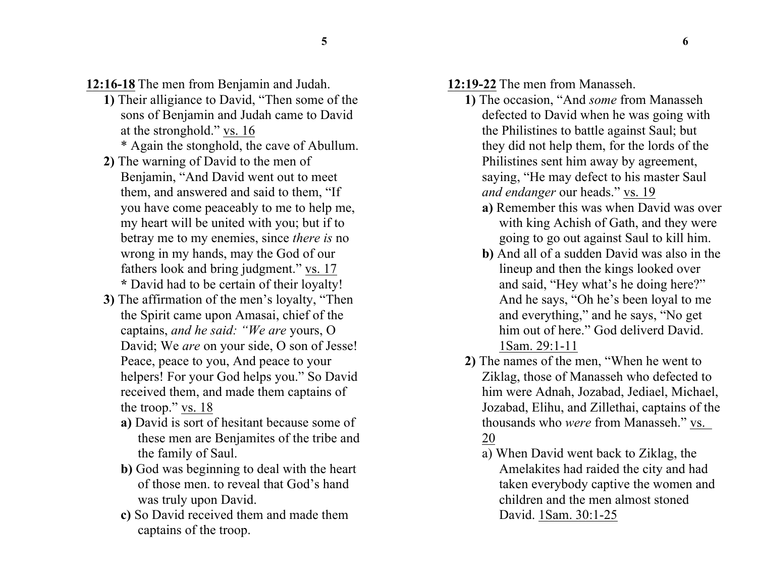**12:16-18** The men from Benjamin and Judah.

- **1)** Their alligiance to David, "Then some of the sons of Benjamin and Judah came to David at the stronghold." vs. 16
	- \* Again the stonghold, the cave of Abullum.
- **2)** The warning of David to the men of Benjamin, "And David went out to meet them, and answered and said to them, "If you have come peaceably to me to help me, my heart will be united with you; but if to betray me to my enemies, since *there is* no wrong in my hands, may the God of our fathers look and bring judgment." vs. 17 **\*** David had to be certain of their loyalty!
- **3)** The affirmation of the men's loyalty, "Then the Spirit came upon Amasai, chief of the captains, *and he said: "We are* yours, O David; We *are* on your side, O son of Jesse! Peace, peace to you, And peace to your helpers! For your God helps you." So David received them, and made them captains of the troop." vs. 18
	- **a)** David is sort of hesitant because some of these men are Benjamites of the tribe and the family of Saul.
	- **b)** God was beginning to deal with the heart of those men. to reveal that God's hand was truly upon David.
	- **c)** So David received them and made them captains of the troop.

**12:19-22** The men from Manasseh.

- **1)** The occasion, "And *some* from Manasseh defected to David when he was going with the Philistines to battle against Saul; but they did not help them, for the lords of the Philistines sent him away by agreement, saying, "He may defect to his master Saul *and endanger* our heads." vs. 19
	- **a)** Remember this was when David was over with king Achish of Gath, and they were going to go out against Saul to kill him.
	- **b)** And all of a sudden David was also in the lineup and then the kings looked over and said, "Hey what's he doing here?" And he says, "Oh he's been loyal to me and everything," and he says, "No get him out of here." God deliverd David. 1Sam. 29:1-11
- **2)** The names of the men, "When he went to Ziklag, those of Manasseh who defected to him were Adnah, Jozabad, Jediael, Michael, Jozabad, Elihu, and Zillethai, captains of the thousands who *were* from Manasseh." vs. 20
	- a) When David went back to Ziklag, the Amelakites had raided the city and had taken everybody captive the women and children and the men almost stoned David. 1Sam. 30:1-25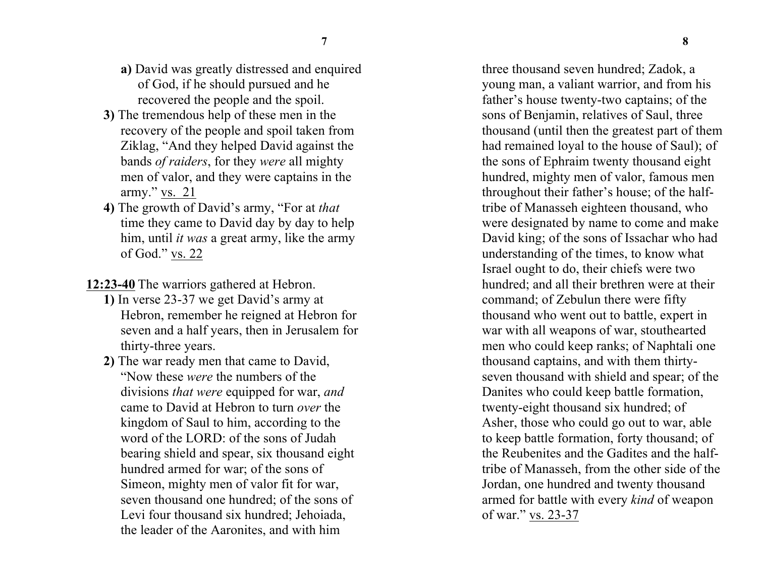- **a)** David was greatly distressed and enquired of God, if he should pursued and he recovered the people and the spoil.
- **3)** The tremendous help of these men in the recovery of the people and spoil taken from Ziklag, "And they helped David against the bands *of raiders*, for they *were* all mighty men of valor, and they were captains in the army." vs. 21
- **4)** The growth of David's army, "For at *that* time they came to David day by day to help him, until *it was* a great army, like the army of God." vs. 22

**12:23-40** The warriors gathered at Hebron.

- **1)** In verse 23-37 we get David's army at Hebron, remember he reigned at Hebron for seven and a half years, then in Jerusalem for thirty-three years.
- **2)** The war ready men that came to David, "Now these *were* the numbers of the divisions *that were* equipped for war, *and* came to David at Hebron to turn *over* the kingdom of Saul to him, according to the word of the LORD: of the sons of Judah bearing shield and spear, six thousand eight hundred armed for war; of the sons of Simeon, mighty men of valor fit for war, seven thousand one hundred; of the sons of Levi four thousand six hundred; Jehoiada, the leader of the Aaronites, and with him

three thousand seven hundred; Zadok, a young man, a valiant warrior, and from his father's house twenty-two captains; of the sons of Benjamin, relatives of Saul, three thousand (until then the greatest part of them had remained loyal to the house of Saul); of the sons of Ephraim twenty thousand eight hundred, mighty men of valor, famous men throughout their father's house; of the halftribe of Manasseh eighteen thousand, who were designated by name to come and make David king; of the sons of Issachar who had understanding of the times, to know what Israel ought to do, their chiefs were two hundred; and all their brethren were at their command; of Zebulun there were fifty thousand who went out to battle, expert in war with all weapons of war, stouthearted men who could keep ranks; of Naphtali one thousand captains, and with them thirtyseven thousand with shield and spear; of the Danites who could keep battle formation, twenty-eight thousand six hundred; of Asher, those who could go out to war, able to keep battle formation, forty thousand; of the Reubenites and the Gadites and the halftribe of Manasseh, from the other side of the Jordan, one hundred and twenty thousand armed for battle with every *kind* of weapon of war." vs. 23-37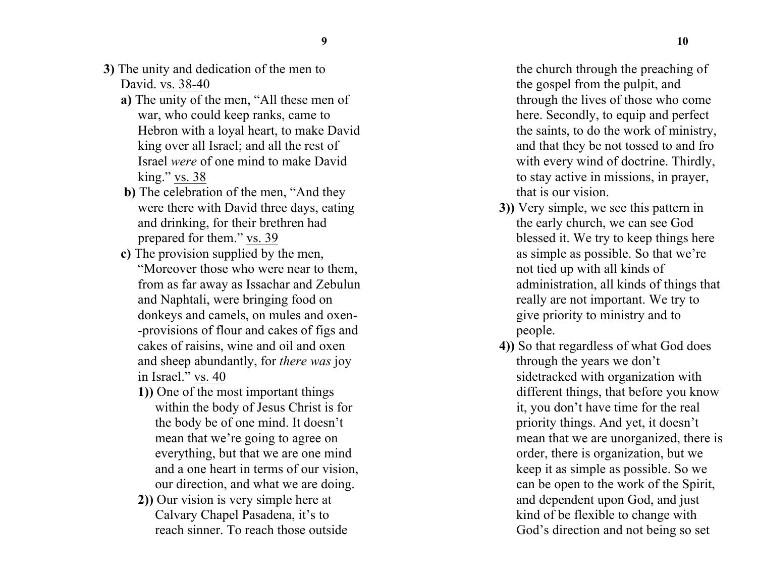- **3)** The unity and dedication of the men to David. vs. 38-40
	- **a)** The unity of the men, "All these men of war, who could keep ranks, came to Hebron with a loyal heart, to make David king over all Israel; and all the rest of Israel *were* of one mind to make David king." vs. 38
	- **b)** The celebration of the men, "And they were there with David three days, eating and drinking, for their brethren had prepared for them." vs. 39
	- **c)** The provision supplied by the men, "Moreover those who were near to them, from as far away as Issachar and Zebulun and Naphtali, were bringing food on donkeys and camels, on mules and oxen- -provisions of flour and cakes of figs and cakes of raisins, wine and oil and oxen and sheep abundantly, for *there was* joy in Israel." vs. 40
		- **1))** One of the most important things within the body of Jesus Christ is for the body be of one mind. It doesn't mean that we're going to agree on everything, but that we are one mind and a one heart in terms of our vision, our direction, and what we are doing.
		- **2))** Our vision is very simple here at Calvary Chapel Pasadena, it's to reach sinner. To reach those outside

the church through the preaching of the gospel from the pulpit, and through the lives of those who come here. Secondly, to equip and perfect the saints, to do the work of ministry, and that they be not tossed to and fro with every wind of doctrine. Thirdly, to stay active in missions, in prayer, that is our vision.

- **3))** Very simple, we see this pattern in the early church, we can see God blessed it. We try to keep things here as simple as possible. So that we're not tied up with all kinds of administration, all kinds of things that really are not important. We try to give priority to ministry and to people.
- **4))** So that regardless of what God does through the years we don't sidetracked with organization with different things, that before you know it, you don't have time for the real priority things. And yet, it doesn't mean that we are unorganized, there is order, there is organization, but we keep it as simple as possible. So we can be open to the work of the Spirit, and dependent upon God, and just kind of be flexible to change with God's direction and not being so set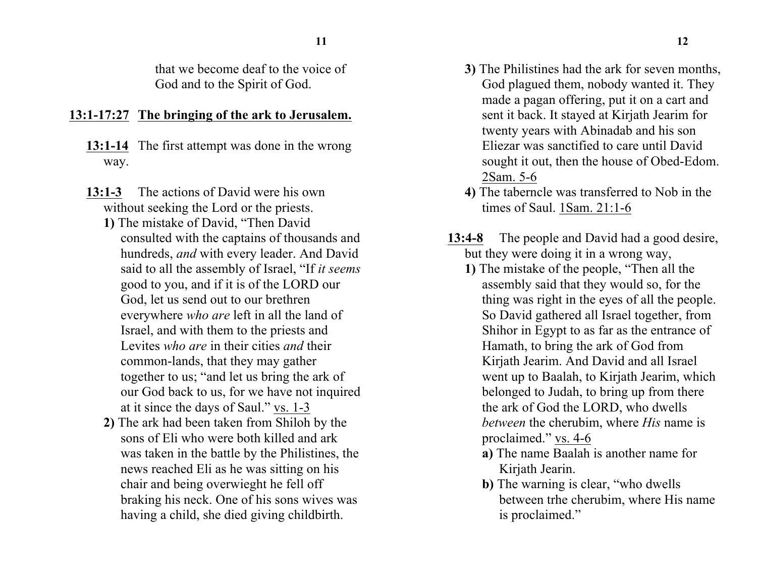that we become deaf to the voice of God and to the Spirit of God.

## **13:1-17:27 The bringing of the ark to Jerusalem.**

- **13:1-14** The first attempt was done in the wrong way.
- **13:1-3** The actions of David were his own without seeking the Lord or the priests.
	- **1)** The mistake of David, "Then David consulted with the captains of thousands and hundreds, *and* with every leader. And David said to all the assembly of Israel, "If *it seems* good to you, and if it is of the LORD our God, let us send out to our brethren everywhere *who are* left in all the land of Israel, and with them to the priests and Levites *who are* in their cities *and* their common-lands, that they may gather together to us; "and let us bring the ark of our God back to us, for we have not inquired at it since the days of Saul." vs. 1-3
	- **2)** The ark had been taken from Shiloh by the sons of Eli who were both killed and ark was taken in the battle by the Philistines, the news reached Eli as he was sitting on his chair and being overwieght he fell off braking his neck. One of his sons wives was having a child, she died giving childbirth.
- **3)** The Philistines had the ark for seven months, God plagued them, nobody wanted it. They made a pagan offering, put it on a cart and sent it back. It stayed at Kirjath Jearim for twenty years with Abinadab and his son Eliezar was sanctified to care until David sought it out, then the house of Obed-Edom. 2Sam. 5-6
- **4)** The taberncle was transferred to Nob in the times of Saul. 1Sam. 21:1-6
- **13:4-8** The people and David had a good desire, but they were doing it in a wrong way,
	- **1)** The mistake of the people, "Then all the assembly said that they would so, for the thing was right in the eyes of all the people. So David gathered all Israel together, from Shihor in Egypt to as far as the entrance of Hamath, to bring the ark of God from Kirjath Jearim. And David and all Israel went up to Baalah, to Kirjath Jearim, which belonged to Judah, to bring up from there the ark of God the LORD, who dwells *between* the cherubim, where *His* name is proclaimed." vs. 4-6
		- **a)** The name Baalah is another name for Kirjath Jearin.
		- **b)** The warning is clear, "who dwells between trhe cherubim, where His name is proclaimed."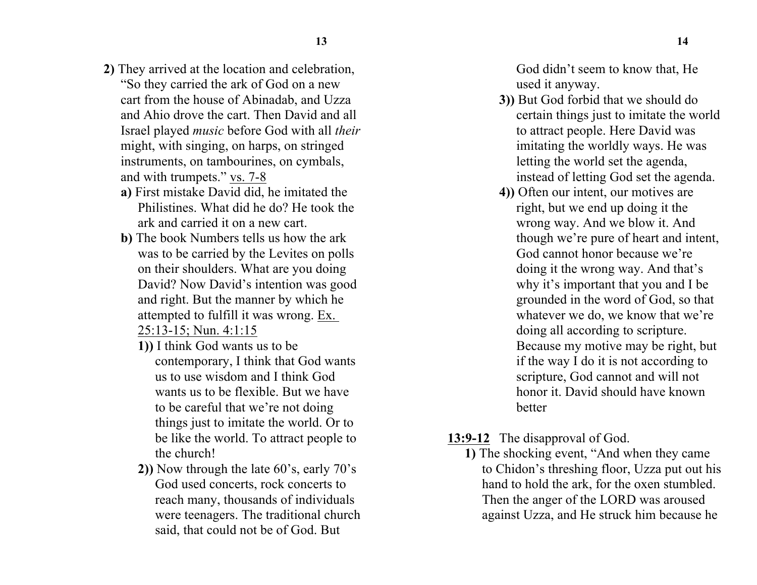- **2)** They arrived at the location and celebration, "So they carried the ark of God on a new cart from the house of Abinadab, and Uzza and Ahio drove the cart. Then David and all Israel played *music* before God with all *their* might, with singing, on harps, on stringed instruments, on tambourines, on cymbals, and with trumpets." vs. 7-8
	- **a)** First mistake David did, he imitated the Philistines. What did he do? He took the ark and carried it on a new cart.
	- **b)** The book Numbers tells us how the ark was to be carried by the Levites on polls on their shoulders. What are you doing David? Now David's intention was good and right. But the manner by which he attempted to fulfill it was wrong. Ex. 25:13-15; Nun. 4:1:15
		- **1))** I think God wants us to be contemporary, I think that God wants us to use wisdom and I think God wants us to be flexible. But we have to be careful that we're not doing things just to imitate the world. Or to be like the world. To attract people to the church!
		- **2))** Now through the late 60's, early 70's God used concerts, rock concerts to reach many, thousands of individuals were teenagers. The traditional church said, that could not be of God. But

God didn't seem to know that, He used it anyway.

- **3))** But God forbid that we should do certain things just to imitate the world to attract people. Here David was imitating the worldly ways. He was letting the world set the agenda, instead of letting God set the agenda.
- **4))** Often our intent, our motives are right, but we end up doing it the wrong way. And we blow it. And though we're pure of heart and intent, God cannot honor because we're doing it the wrong way. And that's why it's important that you and I be grounded in the word of God, so that whatever we do, we know that we're doing all according to scripture. Because my motive may be right, but if the way I do it is not according to scripture, God cannot and will not honor it. David should have known better
- **13:9-12** The disapproval of God.
	- **1)** The shocking event, "And when they came to Chidon's threshing floor, Uzza put out his hand to hold the ark, for the oxen stumbled. Then the anger of the LORD was aroused against Uzza, and He struck him because he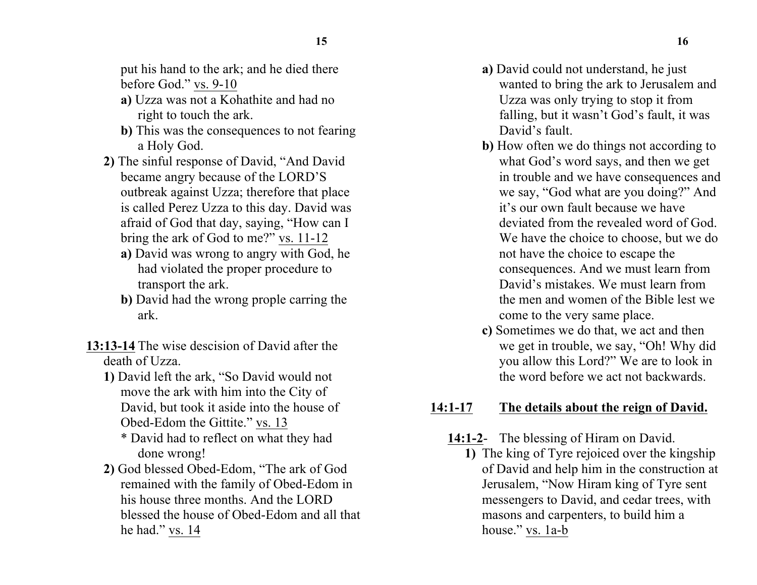put his hand to the ark; and he died there before God." vs. 9-10

- **a)** Uzza was not a Kohathite and had no right to touch the ark.
- **b)** This was the consequences to not fearing a Holy God.
- **2)** The sinful response of David, "And David became angry because of the LORD'S outbreak against Uzza; therefore that place is called Perez Uzza to this day. David was afraid of God that day, saying, "How can I bring the ark of God to me?" vs. 11-12
	- **a)** David was wrong to angry with God, he had violated the proper procedure to transport the ark.
	- **b)** David had the wrong prople carring the ark.
- **13:13-14** The wise descision of David after the death of Uzza.
	- **1)** David left the ark, "So David would not move the ark with him into the City of David, but took it aside into the house of Obed-Edom the Gittite." vs. 13
		- \* David had to reflect on what they had done wrong!
	- **2)** God blessed Obed-Edom, "The ark of God remained with the family of Obed-Edom in his house three months. And the LORD blessed the house of Obed-Edom and all that he had." vs. 14
- **a)** David could not understand, he just wanted to bring the ark to Jerusalem and Uzza was only trying to stop it from falling, but it wasn't God's fault, it was David's fault.
- **b)** How often we do things not according to what God's word says, and then we get in trouble and we have consequences and we say, "God what are you doing?" And it's our own fault because we have deviated from the revealed word of God. We have the choice to choose, but we do not have the choice to escape the consequences. And we must learn from David's mistakes. We must learn from the men and women of the Bible lest we come to the very same place.
- **c)** Sometimes we do that, we act and then we get in trouble, we say, "Oh! Why did you allow this Lord?" We are to look in the word before we act not backwards.

## **14:1-17 The details about the reign of David.**

- **14:1-2** The blessing of Hiram on David.
	- **1)** The king of Tyre rejoiced over the kingship of David and help him in the construction at Jerusalem, "Now Hiram king of Tyre sent messengers to David, and cedar trees, with masons and carpenters, to build him a house." vs. 1a-b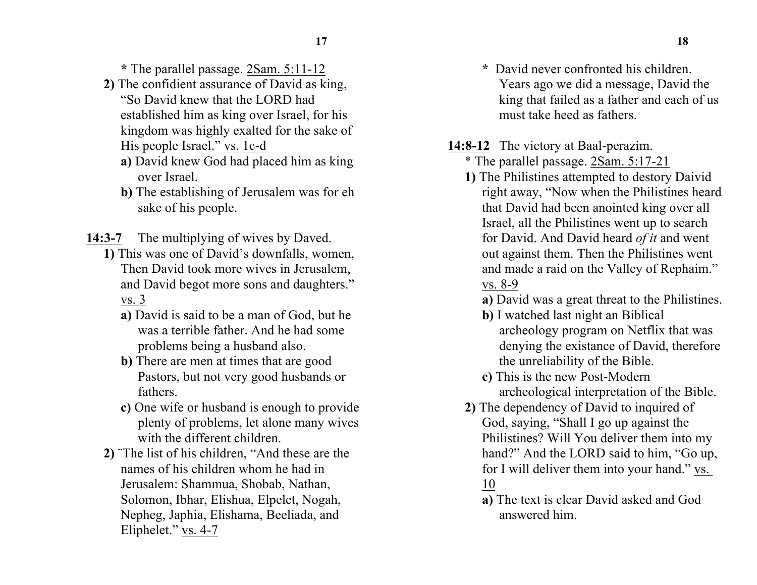**\*** The parallel passage. 2Sam. 5:11-12

- **2)** The confidient assurance of David as king, "So David knew that the LORD had established him as king over Israel, for his kingdom was highly exalted for the sake of His people Israel." vs. 1c-d
	- **a)** David knew God had placed him as king over Israel.
	- **b)** The establishing of Jerusalem was for eh sake of his people.
- **14:3-7** The multiplying of wives by Daved.
	- **1)** This was one of David's downfalls, women, Then David took more wives in Jerusalem, and David begot more sons and daughters." vs. 3
		- **a)** David is said to be a man of God, but he was a terrible father. And he had some problems being a husband also.
		- **b)** There are men at times that are good Pastors, but not very good husbands or fathers.
		- **c)** One wife or husband is enough to provide plenty of problems, let alone many wives with the different children.
	- **2)** ¨The list of his children, "And these are the names of his children whom he had in Jerusalem: Shammua, Shobab, Nathan, Solomon, Ibhar, Elishua, Elpelet, Nogah, Nepheg, Japhia, Elishama, Beeliada, and Eliphelet." vs. 4-7
- **\*** David never confronted his children. Years ago we did a message, David the king that failed as a father and each of us must take heed as fathers.
- **14:8-12** The victory at Baal-perazim.
	- \* The parallel passage. 2Sam. 5:17-21
	- **1)** The Philistines attempted to destory Daivid right away, "Now when the Philistines heard that David had been anointed king over all Israel, all the Philistines went up to search for David. And David heard *of it* and went out against them. Then the Philistines went and made a raid on the Valley of Rephaim." vs. 8-9
		- **a)** David was a great threat to the Philistines.
		- **b)** I watched last night an Biblical archeology program on Netflix that was denying the existance of David, therefore the unreliability of the Bible.
		- **c)** This is the new Post-Modern archeological interpretation of the Bible.
	- **2)** The dependency of David to inquired of God, saying, "Shall I go up against the Philistines? Will You deliver them into my hand?" And the LORD said to him, "Go up, for I will deliver them into your hand." vs. 10
		- **a)** The text is clear David asked and God answered him.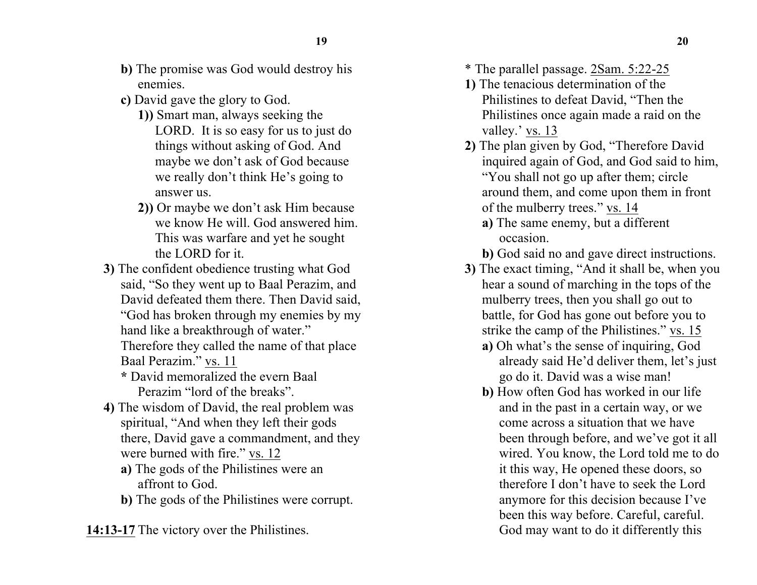- **b)** The promise was God would destroy his enemies.
- **c)** David gave the glory to God.
	- **1))** Smart man, always seeking the LORD. It is so easy for us to just do things without asking of God. And maybe we don't ask of God because we really don't think He's going to answer us.
	- **2))** Or maybe we don't ask Him because we know He will. God answered him. This was warfare and yet he sought the LORD for it.
- **3)** The confident obedience trusting what God said, "So they went up to Baal Perazim, and David defeated them there. Then David said, "God has broken through my enemies by my hand like a breakthrough of water."

Therefore they called the name of that place Baal Perazim." vs. 11

**\*** David memoralized the evern Baal Perazim "lord of the breaks".

- **4)** The wisdom of David, the real problem was spiritual, "And when they left their gods there, David gave a commandment, and they were burned with fire." vs. 12
	- **a)** The gods of the Philistines were an affront to God.
	- **b)** The gods of the Philistines were corrupt.

**14:13-17** The victory over the Philistines.

- \* The parallel passage. 2Sam. 5:22-25
- **1)** The tenacious determination of the Philistines to defeat David, "Then the Philistines once again made a raid on the valley.' vs. 13
- **2)** The plan given by God, "Therefore David inquired again of God, and God said to him, "You shall not go up after them; circle around them, and come upon them in front of the mulberry trees." vs. 14
	- **a)** The same enemy, but a different occasion.
	- **b)** God said no and gave direct instructions.
- **3)** The exact timing, "And it shall be, when you hear a sound of marching in the tops of the mulberry trees, then you shall go out to battle, for God has gone out before you to strike the camp of the Philistines." vs. 15
	- **a)** Oh what's the sense of inquiring, God already said He'd deliver them, let's just go do it. David was a wise man!
	- **b)** How often God has worked in our life and in the past in a certain way, or we come across a situation that we have been through before, and we've got it all wired. You know, the Lord told me to do it this way, He opened these doors, so therefore I don't have to seek the Lord anymore for this decision because I've been this way before. Careful, careful. God may want to do it differently this